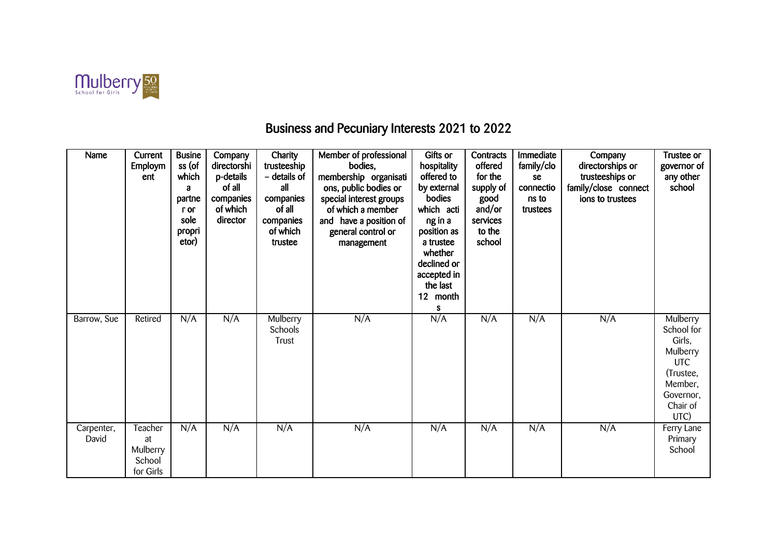

## Business and Pecuniary Interests 2021 to 2022

| Name                | Current<br><b>Employm</b><br>ent                 | <b>Busine</b><br>ss (of<br>which<br>a<br>partne<br>r or<br>sole<br>propri<br>etor) | Company<br>directorshi<br>p-details<br>of all<br>companies<br>of which<br>director | Charity<br>trusteeship<br>- details of<br>all<br>companies<br>of all<br>companies<br>of which<br>trustee | Member of professional<br>bodies,<br>membership organisati<br>ons, public bodies or<br>special interest groups<br>of which a member<br>and have a position of<br>general control or<br>management | Gifts or<br>hospitality<br>offered to<br>by external<br>bodies<br>which acti<br>ng in a<br>position as<br>a trustee<br>whether<br>declined or<br>accepted in<br>the last<br>12 month<br>s | Contracts<br>offered<br>for the<br>supply of<br>good<br>and/or<br>services<br>to the<br>school | Immediate<br>family/clo<br>se<br>connectio<br>ns to<br>trustees | Company<br>directorships or<br>trusteeships or<br>family/close connect<br>ions to trustees | Trustee or<br>governor of<br>any other<br>school                                                                    |
|---------------------|--------------------------------------------------|------------------------------------------------------------------------------------|------------------------------------------------------------------------------------|----------------------------------------------------------------------------------------------------------|---------------------------------------------------------------------------------------------------------------------------------------------------------------------------------------------------|-------------------------------------------------------------------------------------------------------------------------------------------------------------------------------------------|------------------------------------------------------------------------------------------------|-----------------------------------------------------------------|--------------------------------------------------------------------------------------------|---------------------------------------------------------------------------------------------------------------------|
| Barrow, Sue         | Retired                                          | N/A                                                                                | N/A                                                                                | Mulberry<br>Schools<br>Trust                                                                             | N/A                                                                                                                                                                                               | N/A                                                                                                                                                                                       | N/A                                                                                            | N/A                                                             | N/A                                                                                        | Mulberry<br>School for<br>Girls,<br>Mulberry<br><b>UTC</b><br>(Trustee,<br>Member,<br>Governor,<br>Chair of<br>UTC) |
| Carpenter,<br>David | Teacher<br>at<br>Mulberry<br>School<br>for Girls | N/A                                                                                | N/A                                                                                | N/A                                                                                                      | N/A                                                                                                                                                                                               | N/A                                                                                                                                                                                       | N/A                                                                                            | N/A                                                             | N/A                                                                                        | Ferry Lane<br>Primary<br>School                                                                                     |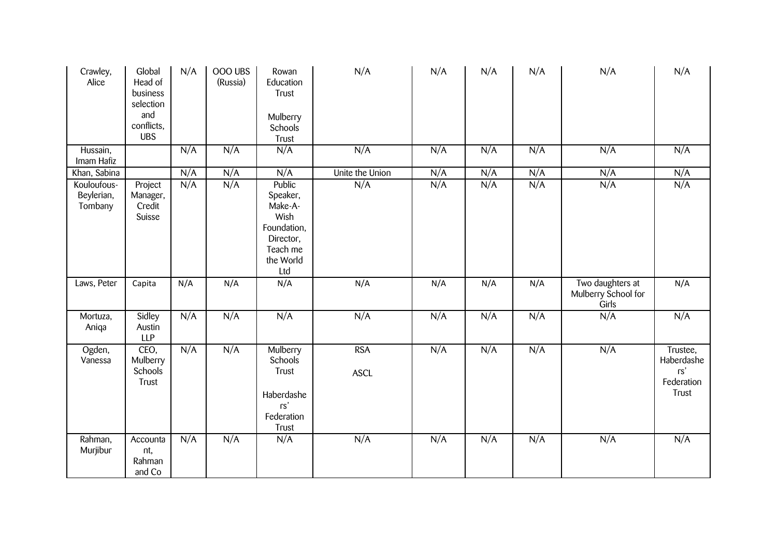| Crawley,<br>Alice                    | Global<br>Head of<br>business<br>selection<br>and<br>conflicts,<br><b>UBS</b> | N/A | OOO UBS<br>(Russia) | Rowan<br>Education<br>Trust<br>Mulberry<br>Schools<br>Trust                                       | N/A                       | N/A | N/A | N/A | N/A                                              | N/A                                                  |
|--------------------------------------|-------------------------------------------------------------------------------|-----|---------------------|---------------------------------------------------------------------------------------------------|---------------------------|-----|-----|-----|--------------------------------------------------|------------------------------------------------------|
| Hussain,<br>Imam Hafiz               |                                                                               | N/A | N/A                 | N/A                                                                                               | N/A                       | N/A | N/A | N/A | N/A                                              | N/A                                                  |
| Khan, Sabina                         |                                                                               | N/A | N/A                 | N/A                                                                                               | Unite the Union           | N/A | N/A | N/A | N/A                                              | N/A                                                  |
| Kouloufous-<br>Beylerian,<br>Tombany | Project<br>Manager,<br>Credit<br>Suisse                                       | N/A | N/A                 | Public<br>Speaker,<br>Make-A-<br>Wish<br>Foundation,<br>Director,<br>Teach me<br>the World<br>Ltd | N/A                       | N/A | N/A | N/A | N/A                                              | N/A                                                  |
| Laws, Peter                          | Capita                                                                        | N/A | N/A                 | N/A                                                                                               | N/A                       | N/A | N/A | N/A | Two daughters at<br>Mulberry School for<br>Girls | N/A                                                  |
| Mortuza,<br>Aniqa                    | Sidley<br>Austin<br><b>LLP</b>                                                | N/A | N/A                 | N/A                                                                                               | N/A                       | N/A | N/A | N/A | N/A                                              | N/A                                                  |
| Ogden,<br>Vanessa                    | CEO,<br>Mulberry<br>Schools<br>Trust                                          | N/A | N/A                 | Mulberry<br>Schools<br>Trust<br>Haberdashe<br>rs'<br>Federation<br>Trust                          | <b>RSA</b><br><b>ASCL</b> | N/A | N/A | N/A | N/A                                              | Trustee,<br>Haberdashe<br>rs'<br>Federation<br>Trust |
| Rahman,<br>Murjibur                  | Accounta<br>nt,<br>Rahman<br>and Co                                           | N/A | N/A                 | N/A                                                                                               | N/A                       | N/A | N/A | N/A | N/A                                              | N/A                                                  |